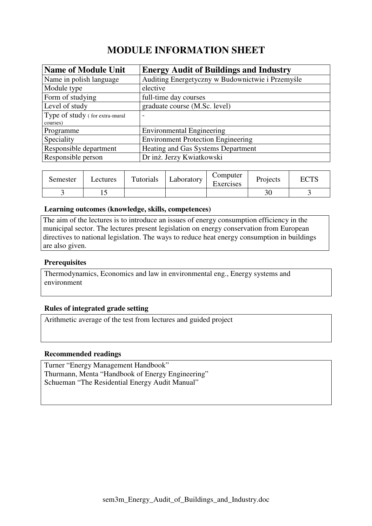# **MODULE INFORMATION SHEET**

| <b>Name of Module Unit</b>     | <b>Energy Audit of Buildings and Industry</b>    |
|--------------------------------|--------------------------------------------------|
| Name in polish language        | Auditing Energetyczny w Budownictwie i Przemyśle |
| Module type                    | elective                                         |
| Form of studying               | full-time day courses                            |
| Level of study                 | graduate course (M.Sc. level)                    |
| Type of study (for extra-mural | $\overline{\phantom{0}}$                         |
| courses)                       |                                                  |
| Programme                      | <b>Environmental Engineering</b>                 |
| Speciality                     | <b>Environment Protection Engineering</b>        |
| Responsible department         | Heating and Gas Systems Department               |
| Responsible person             | Dr inż. Jerzy Kwiatkowski                        |

| Semester | Lectures | Tutorials | ∟aboratory | Computer<br>Exercises | Projects | <b>DOTO</b> |
|----------|----------|-----------|------------|-----------------------|----------|-------------|
|          |          |           |            |                       | ΟU       |             |

#### **Learning outcomes (knowledge, skills, competences)**

The aim of the lectures is to introduce an issues of energy consumption efficiency in the municipal sector. The lectures present legislation on energy conservation from European directives to national legislation. The ways to reduce heat energy consumption in buildings are also given.

## **Prerequisites**

Thermodynamics, Economics and law in environmental eng., Energy systems and environment

## **Rules of integrated grade setting**

Arithmetic average of the test from lectures and guided project

#### **Recommended readings**

Turner "Energy Management Handbook" Thurmann, Menta "Handbook of Energy Engineering" Schueman "The Residential Energy Audit Manual"